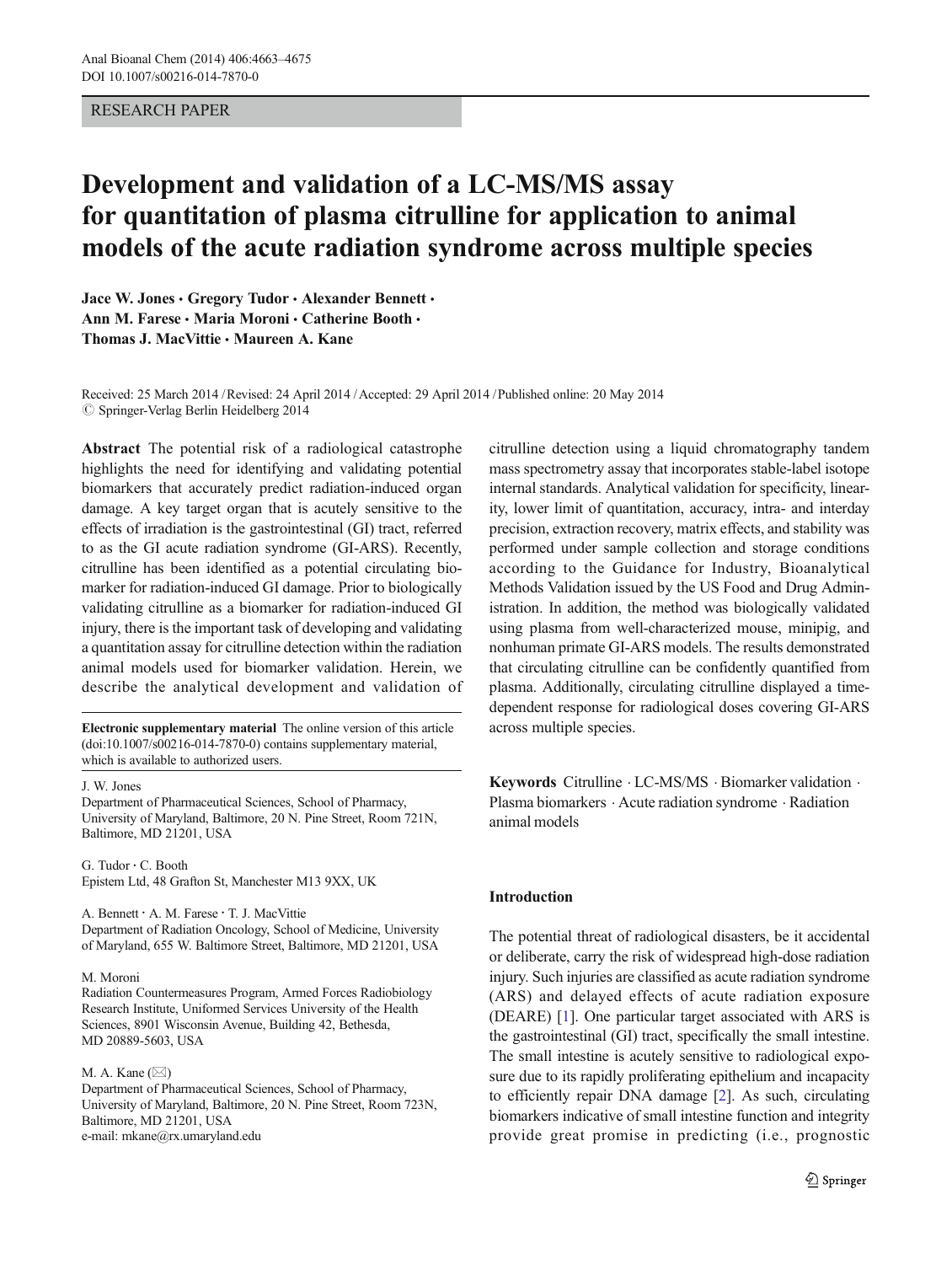# RESEARCH PAPER

# Development and validation of a LC-MS/MS assay for quantitation of plasma citrulline for application to animal models of the acute radiation syndrome across multiple species

Jace W. Jones · Gregory Tudor · Alexander Bennett · Ann M. Farese · Maria Moroni · Catherine Booth · Thomas J. MacVittie & Maureen A. Kane

Received: 25 March 2014 /Revised: 24 April 2014 /Accepted: 29 April 2014 /Published online: 20 May 2014  $\oslash$  Springer-Verlag Berlin Heidelberg 2014

Abstract The potential risk of a radiological catastrophe highlights the need for identifying and validating potential biomarkers that accurately predict radiation-induced organ damage. A key target organ that is acutely sensitive to the effects of irradiation is the gastrointestinal (GI) tract, referred to as the GI acute radiation syndrome (GI-ARS). Recently, citrulline has been identified as a potential circulating biomarker for radiation-induced GI damage. Prior to biologically validating citrulline as a biomarker for radiation-induced GI injury, there is the important task of developing and validating a quantitation assay for citrulline detection within the radiation animal models used for biomarker validation. Herein, we describe the analytical development and validation of

Electronic supplementary material The online version of this article (doi[:10.1007/s00216-014-7870-0](http://dx.doi.org/10.1007/s00216-014-7870-0)) contains supplementary material, which is available to authorized users.

J. W. Jones

Department of Pharmaceutical Sciences, School of Pharmacy, University of Maryland, Baltimore, 20 N. Pine Street, Room 721N, Baltimore, MD 21201, USA

G. Tudor : C. Booth Epistem Ltd, 48 Grafton St, Manchester M13 9XX, UK

A. Bennett : A. M. Farese : T. J. MacVittie Department of Radiation Oncology, School of Medicine, University of Maryland, 655 W. Baltimore Street, Baltimore, MD 21201, USA

#### M. Moroni

Radiation Countermeasures Program, Armed Forces Radiobiology Research Institute, Uniformed Services University of the Health Sciences, 8901 Wisconsin Avenue, Building 42, Bethesda, MD 20889-5603, USA

#### M. A. Kane  $(\boxtimes)$

Department of Pharmaceutical Sciences, School of Pharmacy, University of Maryland, Baltimore, 20 N. Pine Street, Room 723N, Baltimore, MD 21201, USA e-mail: mkane@rx.umaryland.edu

citrulline detection using a liquid chromatography tandem mass spectrometry assay that incorporates stable-label isotope internal standards. Analytical validation for specificity, linearity, lower limit of quantitation, accuracy, intra- and interday precision, extraction recovery, matrix effects, and stability was performed under sample collection and storage conditions according to the Guidance for Industry, Bioanalytical Methods Validation issued by the US Food and Drug Administration. In addition, the method was biologically validated using plasma from well-characterized mouse, minipig, and nonhuman primate GI-ARS models. The results demonstrated that circulating citrulline can be confidently quantified from plasma. Additionally, circulating citrulline displayed a timedependent response for radiological doses covering GI-ARS across multiple species.

Keywords Citrulline . LC-MS/MS . Biomarker validation . Plasma biomarkers . Acute radiation syndrome . Radiation animal models

## Introduction

The potential threat of radiological disasters, be it accidental or deliberate, carry the risk of widespread high-dose radiation injury. Such injuries are classified as acute radiation syndrome (ARS) and delayed effects of acute radiation exposure (DEARE) [[1\]](#page-11-0). One particular target associated with ARS is the gastrointestinal (GI) tract, specifically the small intestine. The small intestine is acutely sensitive to radiological exposure due to its rapidly proliferating epithelium and incapacity to efficiently repair DNA damage [[2\]](#page-11-0). As such, circulating biomarkers indicative of small intestine function and integrity provide great promise in predicting (i.e., prognostic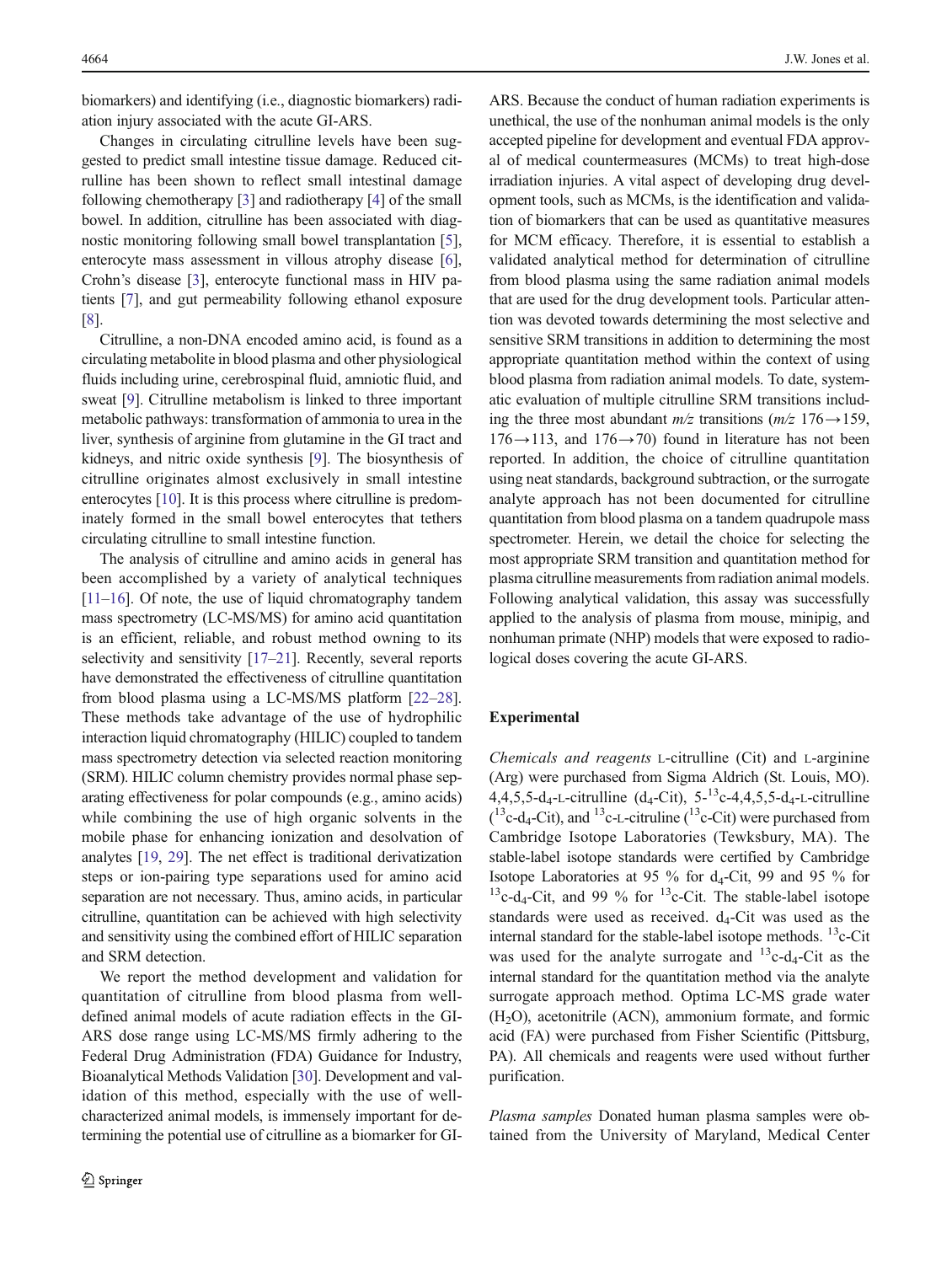biomarkers) and identifying (i.e., diagnostic biomarkers) radiation injury associated with the acute GI-ARS.

Changes in circulating citrulline levels have been suggested to predict small intestine tissue damage. Reduced citrulline has been shown to reflect small intestinal damage following chemotherapy [[3](#page-11-0)] and radiotherapy [\[4\]](#page-11-0) of the small bowel. In addition, citrulline has been associated with diagnostic monitoring following small bowel transplantation [[5\]](#page-11-0), enterocyte mass assessment in villous atrophy disease [[6](#page-11-0)], Crohn's disease [\[3](#page-11-0)], enterocyte functional mass in HIV patients [[7\]](#page-11-0), and gut permeability following ethanol exposure [\[8](#page-11-0)].

Citrulline, a non-DNA encoded amino acid, is found as a circulating metabolite in blood plasma and other physiological fluids including urine, cerebrospinal fluid, amniotic fluid, and sweat [\[9](#page-11-0)]. Citrulline metabolism is linked to three important metabolic pathways: transformation of ammonia to urea in the liver, synthesis of arginine from glutamine in the GI tract and kidneys, and nitric oxide synthesis [\[9](#page-11-0)]. The biosynthesis of citrulline originates almost exclusively in small intestine enterocytes [[10](#page-11-0)]. It is this process where citrulline is predominately formed in the small bowel enterocytes that tethers circulating citrulline to small intestine function.

The analysis of citrulline and amino acids in general has been accomplished by a variety of analytical techniques [\[11](#page-11-0)–[16](#page-11-0)]. Of note, the use of liquid chromatography tandem mass spectrometry (LC-MS/MS) for amino acid quantitation is an efficient, reliable, and robust method owning to its selectivity and sensitivity [\[17](#page-11-0)–[21](#page-11-0)]. Recently, several reports have demonstrated the effectiveness of citrulline quantitation from blood plasma using a LC-MS/MS platform [[22](#page-11-0)–[28](#page-11-0)]. These methods take advantage of the use of hydrophilic interaction liquid chromatography (HILIC) coupled to tandem mass spectrometry detection via selected reaction monitoring (SRM). HILIC column chemistry provides normal phase separating effectiveness for polar compounds (e.g., amino acids) while combining the use of high organic solvents in the mobile phase for enhancing ionization and desolvation of analytes [\[19](#page-11-0), [29\]](#page-12-0). The net effect is traditional derivatization steps or ion-pairing type separations used for amino acid separation are not necessary. Thus, amino acids, in particular citrulline, quantitation can be achieved with high selectivity and sensitivity using the combined effort of HILIC separation and SRM detection.

We report the method development and validation for quantitation of citrulline from blood plasma from welldefined animal models of acute radiation effects in the GI-ARS dose range using LC-MS/MS firmly adhering to the Federal Drug Administration (FDA) Guidance for Industry, Bioanalytical Methods Validation [[30\]](#page-12-0). Development and validation of this method, especially with the use of wellcharacterized animal models, is immensely important for determining the potential use of citrulline as a biomarker for GI-

ARS. Because the conduct of human radiation experiments is unethical, the use of the nonhuman animal models is the only accepted pipeline for development and eventual FDA approval of medical countermeasures (MCMs) to treat high-dose irradiation injuries. A vital aspect of developing drug development tools, such as MCMs, is the identification and validation of biomarkers that can be used as quantitative measures for MCM efficacy. Therefore, it is essential to establish a validated analytical method for determination of citrulline from blood plasma using the same radiation animal models that are used for the drug development tools. Particular attention was devoted towards determining the most selective and sensitive SRM transitions in addition to determining the most appropriate quantitation method within the context of using blood plasma from radiation animal models. To date, systematic evaluation of multiple citrulline SRM transitions including the three most abundant  $m/z$  transitions  $(m/z \ 176 \rightarrow 159)$ ,  $176 \rightarrow 113$ , and  $176 \rightarrow 70$ ) found in literature has not been reported. In addition, the choice of citrulline quantitation using neat standards, background subtraction, or the surrogate analyte approach has not been documented for citrulline quantitation from blood plasma on a tandem quadrupole mass spectrometer. Herein, we detail the choice for selecting the most appropriate SRM transition and quantitation method for plasma citrulline measurements from radiation animal models. Following analytical validation, this assay was successfully applied to the analysis of plasma from mouse, minipig, and nonhuman primate (NHP) models that were exposed to radiological doses covering the acute GI-ARS.

## Experimental

Chemicals and reagents L-citrulline (Cit) and L-arginine (Arg) were purchased from Sigma Aldrich (St. Louis, MO). 4,4,5,5-d<sub>4</sub>-L-citrulline (d<sub>4</sub>-Cit),  $5^{-13}$ c-4,4,5,5-d<sub>4</sub>-L-citrulline  $($ <sup>13</sup>c-d<sub>4</sub>-Cit), and <sup>13</sup>c-L-citruline (<sup>13</sup>c-Cit) were purchased from Cambridge Isotope Laboratories (Tewksbury, MA). The stable-label isotope standards were certified by Cambridge Isotope Laboratories at 95  $\%$  for d<sub>4</sub>-Cit, 99 and 95  $\%$  for <sup>13</sup>c-d<sub>4</sub>-Cit, and 99 % for <sup>13</sup>c-Cit. The stable-label isotope standards were used as received.  $d_4$ -Cit was used as the internal standard for the stable-label isotope methods.  ${}^{13}$ c-Cit was used for the analyte surrogate and  $^{13}$ c-d<sub>4</sub>-Cit as the internal standard for the quantitation method via the analyte surrogate approach method. Optima LC-MS grade water  $(H<sub>2</sub>O)$ , acetonitrile (ACN), ammonium formate, and formic acid (FA) were purchased from Fisher Scientific (Pittsburg, PA). All chemicals and reagents were used without further purification.

Plasma samples Donated human plasma samples were obtained from the University of Maryland, Medical Center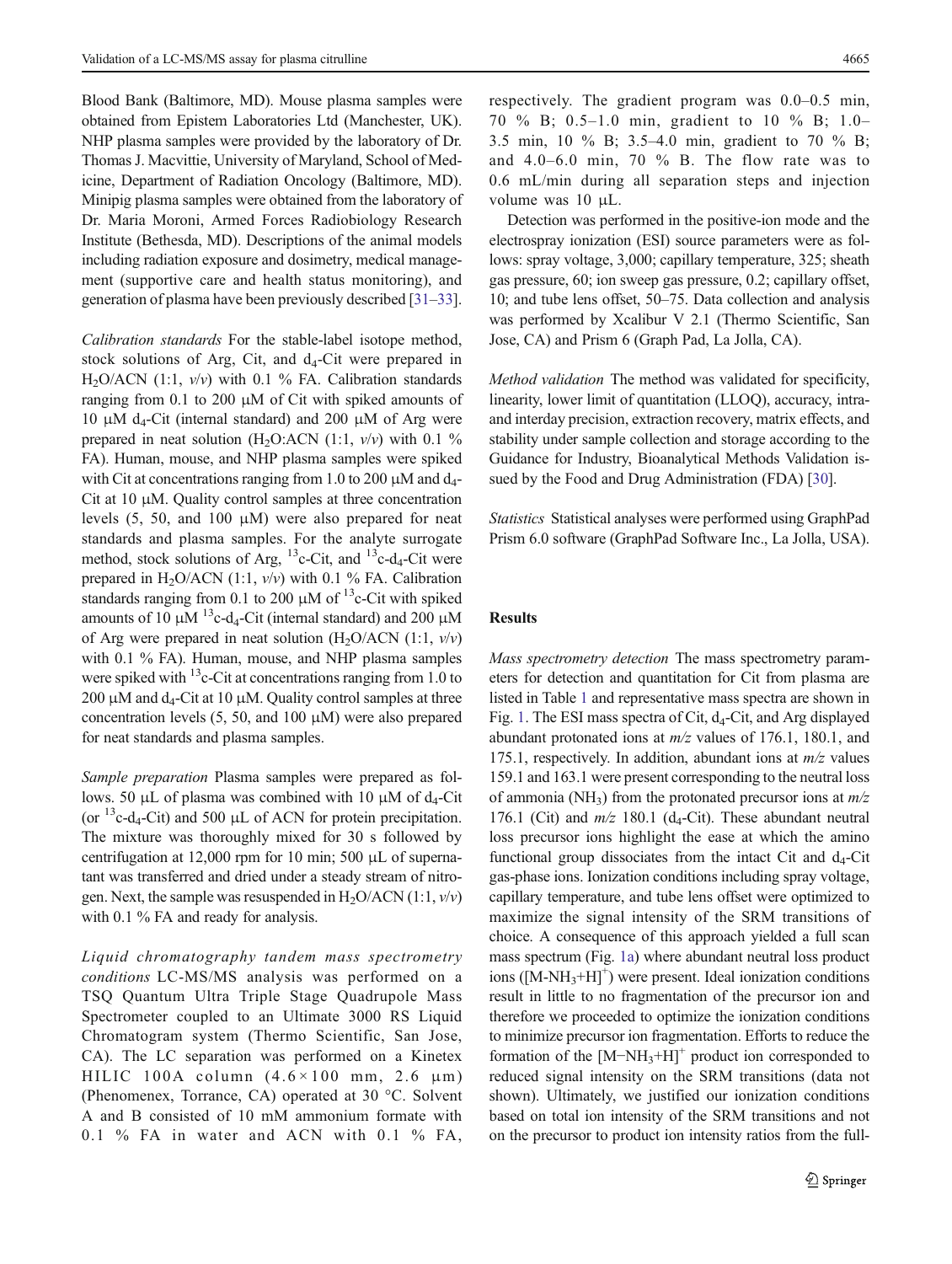Blood Bank (Baltimore, MD). Mouse plasma samples were obtained from Epistem Laboratories Ltd (Manchester, UK). NHP plasma samples were provided by the laboratory of Dr. Thomas J. Macvittie, University of Maryland, School of Medicine, Department of Radiation Oncology (Baltimore, MD). Minipig plasma samples were obtained from the laboratory of Dr. Maria Moroni, Armed Forces Radiobiology Research Institute (Bethesda, MD). Descriptions of the animal models including radiation exposure and dosimetry, medical management (supportive care and health status monitoring), and generation of plasma have been previously described [\[31](#page-12-0)–[33\]](#page-12-0).

Calibration standards For the stable-label isotope method, stock solutions of Arg, Cit, and  $d_4$ -Cit were prepared in  $H_2O/ACN$  (1:1,  $v/v$ ) with 0.1 % FA. Calibration standards ranging from 0.1 to 200  $\mu$ M of Cit with spiked amounts of 10 μM d<sub>4</sub>-Cit (internal standard) and 200 μM of Arg were prepared in neat solution (H<sub>2</sub>O:ACN (1:1,  $v/v$ ) with 0.1 % FA). Human, mouse, and NHP plasma samples were spiked with Cit at concentrations ranging from 1.0 to 200  $\mu$ M and d<sub>4</sub>-Cit at 10 μM. Quality control samples at three concentration levels (5, 50, and 100 μM) were also prepared for neat standards and plasma samples. For the analyte surrogate method, stock solutions of Arg,  $^{13}$ c-Cit, and  $^{13}$ c-d<sub>4</sub>-Cit were prepared in H<sub>2</sub>O/ACN (1:1,  $v/v$ ) with 0.1 % FA. Calibration standards ranging from 0.1 to 200  $\mu$ M of <sup>13</sup>c-Cit with spiked amounts of 10 μM  $^{13}$ c-d<sub>4</sub>-Cit (internal standard) and 200 μM of Arg were prepared in neat solution  $(H_2O/ACN (1:1, v/v))$ with 0.1 % FA). Human, mouse, and NHP plasma samples were spiked with  $^{13}$ c-Cit at concentrations ranging from 1.0 to 200 μM and  $d_4$ -Cit at 10 μM. Quality control samples at three concentration levels (5, 50, and 100 μM) were also prepared for neat standards and plasma samples.

Sample preparation Plasma samples were prepared as follows. 50 μL of plasma was combined with 10 μM of  $d_4$ -Cit (or  $^{13}$ c-d<sub>4</sub>-Cit) and 500  $\mu$ L of ACN for protein precipitation. The mixture was thoroughly mixed for 30 s followed by centrifugation at 12,000 rpm for 10 min; 500 μL of supernatant was transferred and dried under a steady stream of nitrogen. Next, the sample was resuspended in  $H_2O/ACN(1:1, v/v)$ with 0.1 % FA and ready for analysis.

Liquid chromatography tandem mass spectrometry conditions LC-MS/MS analysis was performed on a TSQ Quantum Ultra Triple Stage Quadrupole Mass Spectrometer coupled to an Ultimate 3000 RS Liquid Chromatogram system (Thermo Scientific, San Jose, CA). The LC separation was performed on a Kinetex HILIC 100A column  $(4.6 \times 100$  mm, 2.6  $\mu$ m) (Phenomenex, Torrance, CA) operated at 30 °C. Solvent A and B consisted of 10 mM ammonium formate with 0.1 % FA in water and ACN with 0.1 % FA, respectively. The gradient program was 0.0–0.5 min, 70 % B; 0.5–1.0 min, gradient to 10 % B; 1.0– 3.5 min, 10 % B; 3.5–4.0 min, gradient to 70 % B; and  $4.0-6.0$  min,  $70\%$  B. The flow rate was to 0.6 mL/min during all separation steps and injection volume was 10 μL.

Detection was performed in the positive-ion mode and the electrospray ionization (ESI) source parameters were as follows: spray voltage, 3,000; capillary temperature, 325; sheath gas pressure, 60; ion sweep gas pressure, 0.2; capillary offset, 10; and tube lens offset, 50–75. Data collection and analysis was performed by Xcalibur V 2.1 (Thermo Scientific, San Jose, CA) and Prism 6 (Graph Pad, La Jolla, CA).

Method validation The method was validated for specificity, linearity, lower limit of quantitation (LLOQ), accuracy, intraand interday precision, extraction recovery, matrix effects, and stability under sample collection and storage according to the Guidance for Industry, Bioanalytical Methods Validation issued by the Food and Drug Administration (FDA) [\[30](#page-12-0)].

Statistics Statistical analyses were performed using GraphPad Prism 6.0 software (GraphPad Software Inc., La Jolla, USA).

### Results

Mass spectrometry detection The mass spectrometry parameters for detection and quantitation for Cit from plasma are listed in Table [1](#page-3-0) and representative mass spectra are shown in Fig. [1.](#page-3-0) The ESI mass spectra of Cit,  $d_4$ -Cit, and Arg displayed abundant protonated ions at  $m/z$  values of 176.1, 180.1, and 175.1, respectively. In addition, abundant ions at  $m/z$  values 159.1 and 163.1 were present corresponding to the neutral loss of ammonia (NH<sub>3</sub>) from the protonated precursor ions at  $m/z$ 176.1 (Cit) and  $m/z$  180.1 (d<sub>4</sub>-Cit). These abundant neutral loss precursor ions highlight the ease at which the amino functional group dissociates from the intact Cit and  $d_4$ -Cit gas-phase ions. Ionization conditions including spray voltage, capillary temperature, and tube lens offset were optimized to maximize the signal intensity of the SRM transitions of choice. A consequence of this approach yielded a full scan mass spectrum (Fig. [1a\)](#page-3-0) where abundant neutral loss product ions ( $[M-NH_3+H]^+$ ) were present. Ideal ionization conditions result in little to no fragmentation of the precursor ion and therefore we proceeded to optimize the ionization conditions to minimize precursor ion fragmentation. Efforts to reduce the formation of the  $[M-NH<sub>3</sub>+H]<sup>+</sup>$  product ion corresponded to reduced signal intensity on the SRM transitions (data not shown). Ultimately, we justified our ionization conditions based on total ion intensity of the SRM transitions and not on the precursor to product ion intensity ratios from the full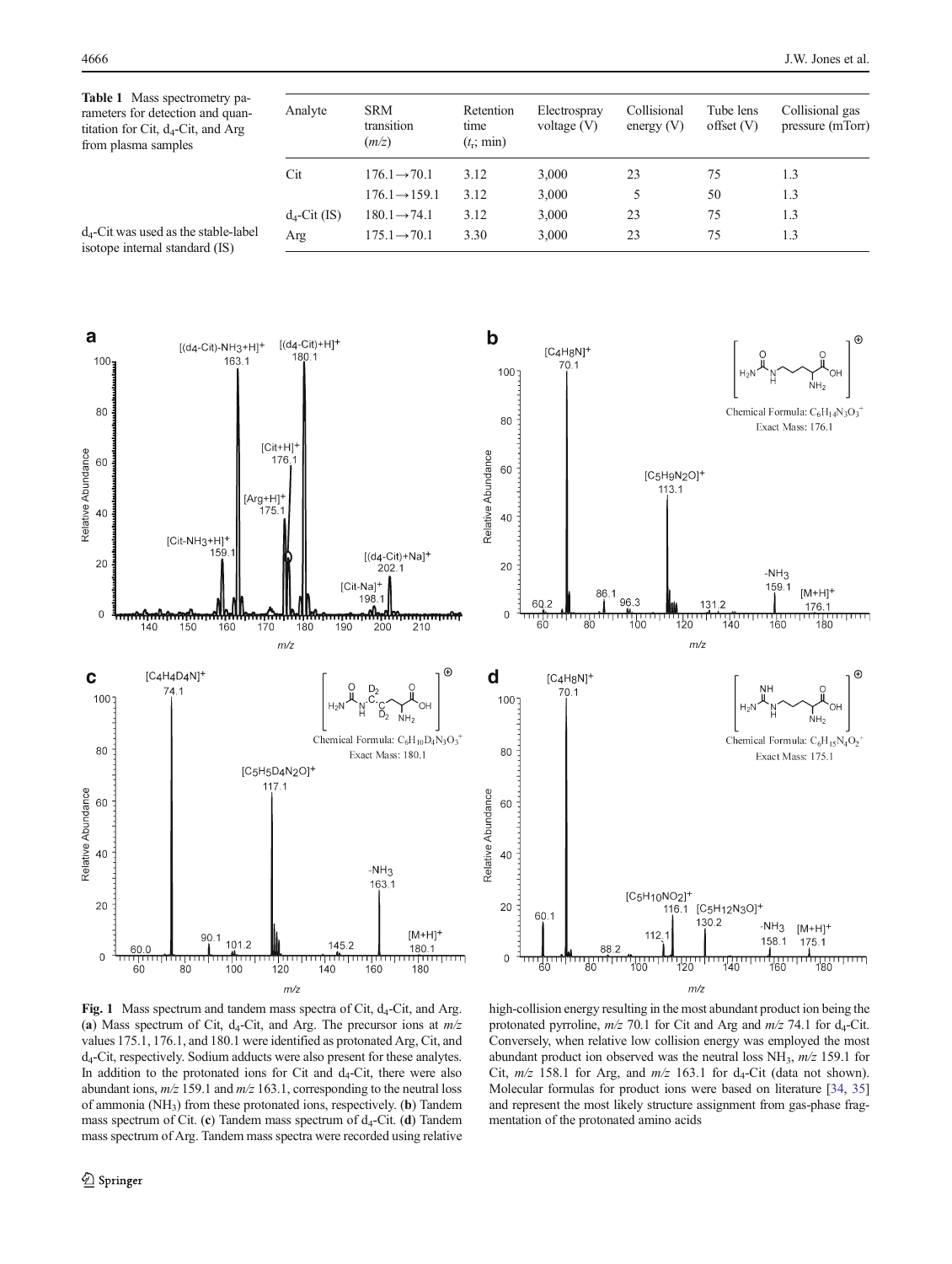<span id="page-3-0"></span>Table 1 Mass spectrometry parameters for detection and quantitation for Cit,  $d_4$ -Cit, and Arg from plasma samples

| Analyte         | <b>SRM</b><br>transition<br>(m/z) | Retention<br>time<br>$(t_r; \text{min})$ | Electrospray<br>voltage $(V)$ | Collisional<br>energy $(V)$ | Tube lens<br>offset(V) | Collisional gas<br>pressure (mTorr) |  |  |
|-----------------|-----------------------------------|------------------------------------------|-------------------------------|-----------------------------|------------------------|-------------------------------------|--|--|
| Cit             | $176.1 \rightarrow 70.1$          | 3.12                                     | 3,000                         | 23                          | 75                     | 1.3                                 |  |  |
|                 | $176.1 \rightarrow 159.1$         | 3.12                                     | 3,000                         | 5                           | 50                     | 1.3                                 |  |  |
| $d_4$ -Cit (IS) | $180.1 \rightarrow 74.1$          | 3.12                                     | 3,000                         | 23                          | 75                     | 1.3                                 |  |  |
| Arg             | $175.1 \rightarrow 70.1$          | 3.30                                     | 3,000                         | 23                          | 75                     | 1.3                                 |  |  |

d4-Cit was used as the stable-label isotope internal standard (IS)





Fig. 1 Mass spectrum and tandem mass spectra of Cit,  $d_4$ -Cit, and Arg. (a) Mass spectrum of Cit, d<sub>4</sub>-Cit, and Arg. The precursor ions at  $m/z$ values 175.1, 176.1, and 180.1 were identified as protonated Arg, Cit, and d4-Cit, respectively. Sodium adducts were also present for these analytes. In addition to the protonated ions for Cit and  $d_4$ -Cit, there were also abundant ions,  $m/z$  159.1 and  $m/z$  163.1, corresponding to the neutral loss of ammonia (NH3) from these protonated ions, respectively. (b) Tandem mass spectrum of Cit. (c) Tandem mass spectrum of  $d_4$ -Cit. (d) Tandem mass spectrum of Arg. Tandem mass spectra were recorded using relative

high-collision energy resulting in the most abundant product ion being the protonated pyrroline,  $m/z$  70.1 for Cit and Arg and  $m/z$  74.1 for  $d_4$ -Cit. Conversely, when relative low collision energy was employed the most abundant product ion observed was the neutral loss  $NH_3$ ,  $m/z$  159.1 for Cit,  $m/z$  158.1 for Arg, and  $m/z$  163.1 for  $d_4$ -Cit (data not shown). Molecular formulas for product ions were based on literature [[34](#page-12-0), [35\]](#page-12-0) and represent the most likely structure assignment from gas-phase fragmentation of the protonated amino acids

 $m/z$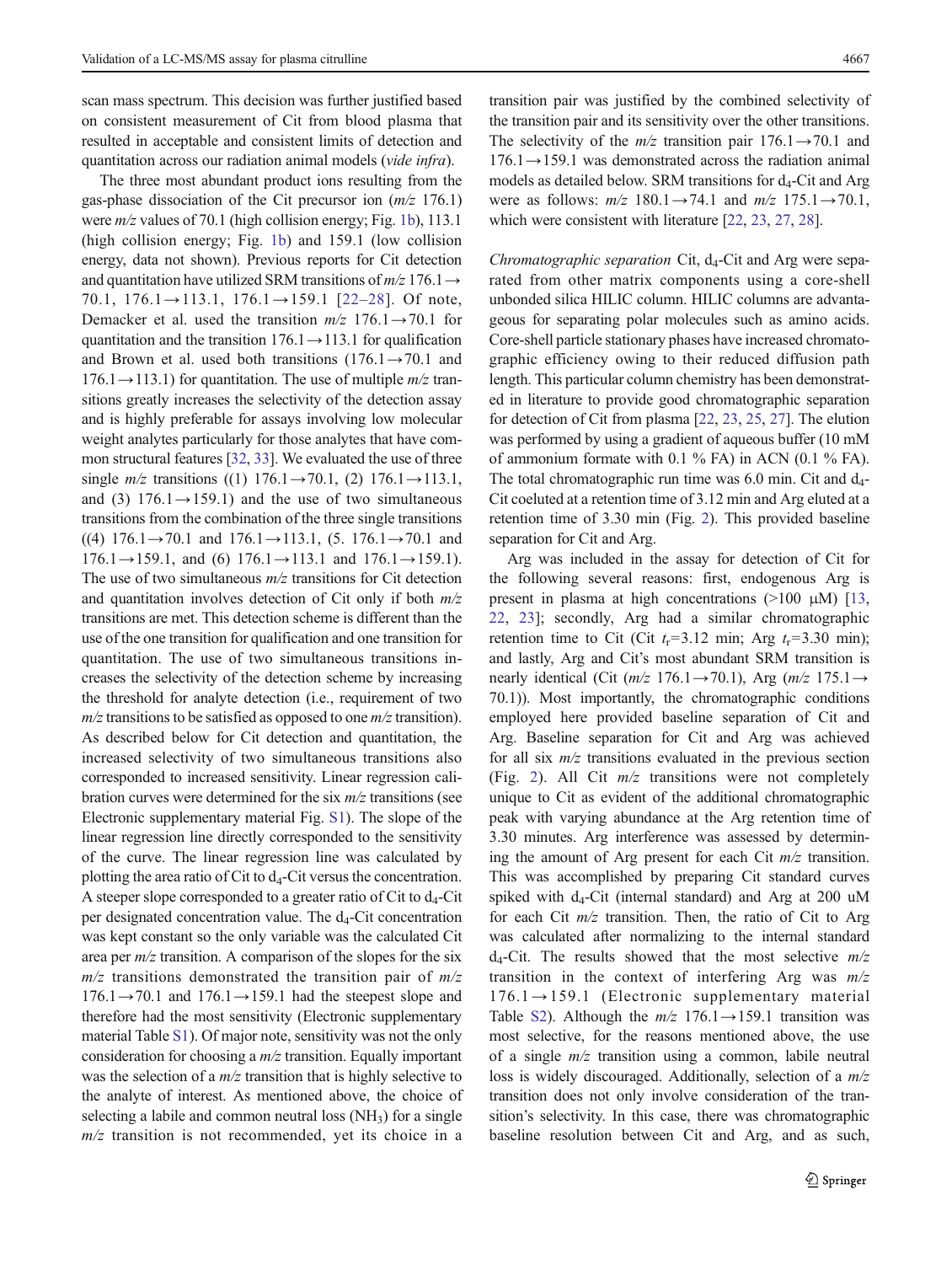scan mass spectrum. This decision was further justified based on consistent measurement of Cit from blood plasma that resulted in acceptable and consistent limits of detection and quantitation across our radiation animal models (vide infra).

The three most abundant product ions resulting from the gas-phase dissociation of the Cit precursor ion  $(m/z 176.1)$ were  $m/z$  values of 70.1 (high collision energy; Fig. [1b\)](#page-3-0), 113.1 (high collision energy; Fig. [1b](#page-3-0)) and 159.1 (low collision energy, data not shown). Previous reports for Cit detection and quantitation have utilized SRM transitions of  $m/z$  176.1  $\rightarrow$ 70.1,  $176.1 \rightarrow 113.1$ ,  $176.1 \rightarrow 159.1$  [[22](#page-11-0)–[28](#page-11-0)]. Of note, Demacker et al. used the transition  $m/z$  176.1  $\rightarrow$  70.1 for quantitation and the transition  $176.1 \rightarrow 113.1$  for qualification and Brown et al. used both transitions  $(176.1 \rightarrow 70.1$  and  $176.1 \rightarrow 113.1$ ) for quantitation. The use of multiple  $m/z$  transitions greatly increases the selectivity of the detection assay and is highly preferable for assays involving low molecular weight analytes particularly for those analytes that have common structural features [[32](#page-12-0), [33\]](#page-12-0). We evaluated the use of three single  $m/z$  transitions ((1) 176.1→70.1, (2) 176.1→113.1, and (3)  $176.1 \rightarrow 159.1$ ) and the use of two simultaneous transitions from the combination of the three single transitions  $((4)$  176.1→70.1 and 176.1→113.1, (5. 176.1→70.1 and  $176.1 \rightarrow 159.1$ , and (6)  $176.1 \rightarrow 113.1$  and  $176.1 \rightarrow 159.1$ ). The use of two simultaneous  $m/z$  transitions for Cit detection and quantitation involves detection of Cit only if both  $m/z$ transitions are met. This detection scheme is different than the use of the one transition for qualification and one transition for quantitation. The use of two simultaneous transitions increases the selectivity of the detection scheme by increasing the threshold for analyte detection (i.e., requirement of two  $m/z$  transitions to be satisfied as opposed to one  $m/z$  transition). As described below for Cit detection and quantitation, the increased selectivity of two simultaneous transitions also corresponded to increased sensitivity. Linear regression calibration curves were determined for the six  $m/z$  transitions (see Electronic supplementary material Fig. S1). The slope of the linear regression line directly corresponded to the sensitivity of the curve. The linear regression line was calculated by plotting the area ratio of Cit to  $d_4$ -Cit versus the concentration. A steeper slope corresponded to a greater ratio of Cit to  $d_4$ -Cit per designated concentration value. The  $d_4$ -Cit concentration was kept constant so the only variable was the calculated Cit area per  $m/z$  transition. A comparison of the slopes for the six  $m/z$  transitions demonstrated the transition pair of  $m/z$  $176.1 \rightarrow 70.1$  and  $176.1 \rightarrow 159.1$  had the steepest slope and therefore had the most sensitivity (Electronic supplementary material Table S1). Of major note, sensitivity was not the only consideration for choosing a  $m/z$  transition. Equally important was the selection of a  $m/z$  transition that is highly selective to the analyte of interest. As mentioned above, the choice of selecting a labile and common neutral loss  $(NH<sub>3</sub>)$  for a single  $m/z$  transition is not recommended, yet its choice in a

transition pair was justified by the combined selectivity of the transition pair and its sensitivity over the other transitions. The selectivity of the  $m/z$  transition pair  $176.1 \rightarrow 70.1$  and  $176.1 \rightarrow 159.1$  was demonstrated across the radiation animal models as detailed below. SRM transitions for  $d_4$ -Cit and Arg were as follows:  $m/z$  180.1→74.1 and  $m/z$  175.1→70.1, which were consistent with literature [\[22,](#page-11-0) [23,](#page-11-0) [27,](#page-11-0) [28\]](#page-11-0).

Chromatographic separation Cit,  $d_4$ -Cit and Arg were separated from other matrix components using a core-shell unbonded silica HILIC column. HILIC columns are advantageous for separating polar molecules such as amino acids. Core-shell particle stationary phases have increased chromatographic efficiency owing to their reduced diffusion path length. This particular column chemistry has been demonstrated in literature to provide good chromatographic separation for detection of Cit from plasma [\[22](#page-11-0), [23,](#page-11-0) [25,](#page-11-0) [27\]](#page-11-0). The elution was performed by using a gradient of aqueous buffer (10 mM of ammonium formate with 0.1 % FA) in ACN (0.1 % FA). The total chromatographic run time was  $6.0$  min. Cit and  $d_{4}$ -Cit coeluted at a retention time of 3.12 min and Arg eluted at a retention time of 3.30 min (Fig. [2\)](#page-5-0). This provided baseline separation for Cit and Arg.

Arg was included in the assay for detection of Cit for the following several reasons: first, endogenous Arg is present in plasma at high concentrations  $(>100 \mu M)$  [\[13,](#page-11-0) [22](#page-11-0), [23\]](#page-11-0); secondly, Arg had a similar chromatographic retention time to Cit (Cit  $t_r = 3.12$  min; Arg  $t_r = 3.30$  min); and lastly, Arg and Cit's most abundant SRM transition is nearly identical (Cit ( $m/z$  176.1→70.1), Arg ( $m/z$  175.1→ 70.1)). Most importantly, the chromatographic conditions employed here provided baseline separation of Cit and Arg. Baseline separation for Cit and Arg was achieved for all six  $m/z$  transitions evaluated in the previous section (Fig. [2\)](#page-5-0). All Cit  $m/z$  transitions were not completely unique to Cit as evident of the additional chromatographic peak with varying abundance at the Arg retention time of 3.30 minutes. Arg interference was assessed by determining the amount of Arg present for each Cit  $m/z$  transition. This was accomplished by preparing Cit standard curves spiked with  $d_4$ -Cit (internal standard) and Arg at 200 uM for each Cit  $m/z$  transition. Then, the ratio of Cit to Arg was calculated after normalizing to the internal standard  $d_4$ -Cit. The results showed that the most selective  $m/z$ transition in the context of interfering Arg was  $m/z$ 176.1→159.1 (Electronic supplementary material Table S2). Although the  $m/z$  176.1 $\rightarrow$ 159.1 transition was most selective, for the reasons mentioned above, the use of a single  $m/z$  transition using a common, labile neutral loss is widely discouraged. Additionally, selection of a  $m/z$ transition does not only involve consideration of the transition's selectivity. In this case, there was chromatographic baseline resolution between Cit and Arg, and as such,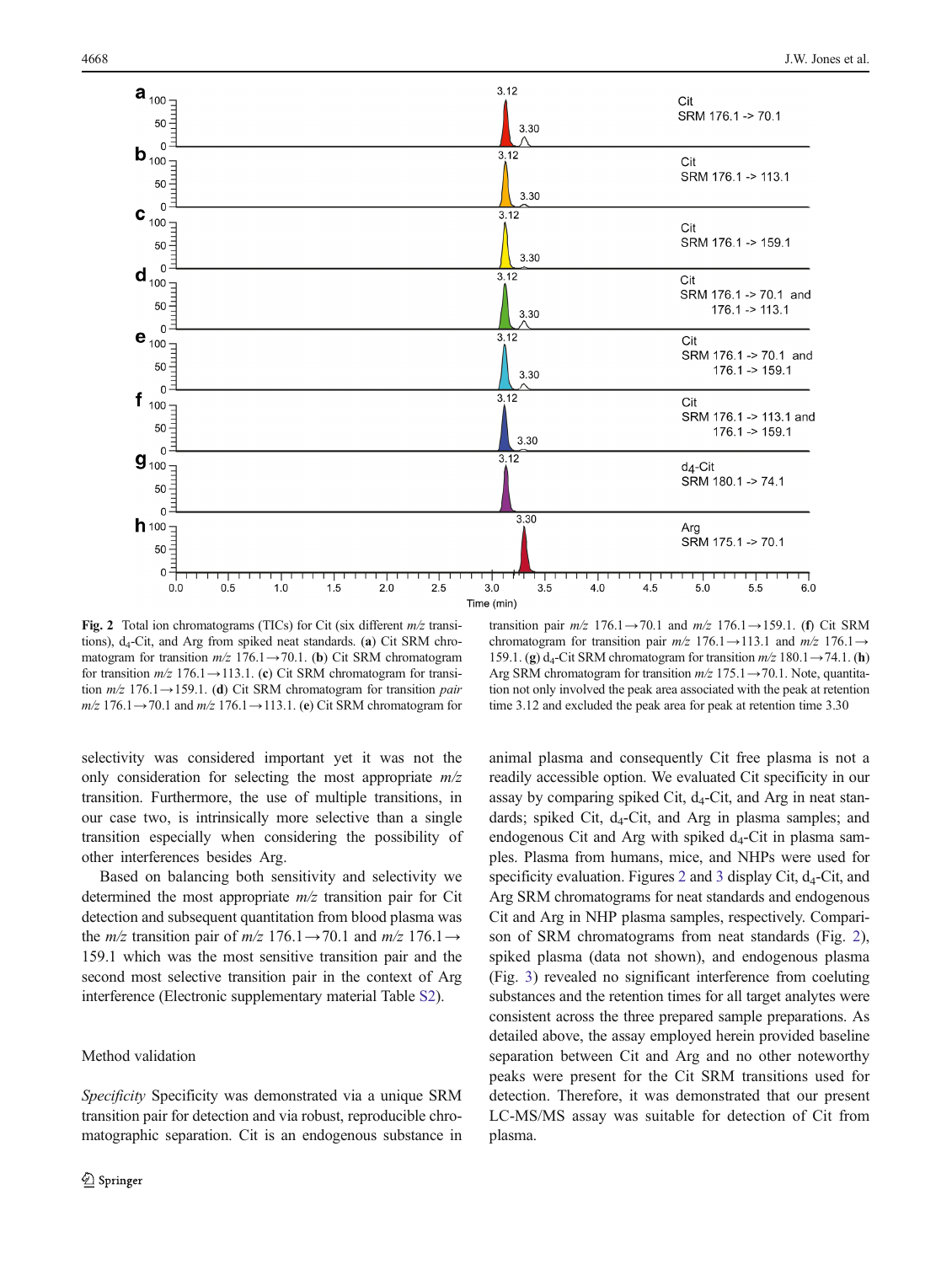<span id="page-5-0"></span>

Fig. 2 Total ion chromatograms (TICs) for Cit (six different  $m/z$  transitions),  $d_4$ -Cit, and Arg from spiked neat standards. (a) Cit SRM chromatogram for transition  $m/z$  176.1→70.1. (b) Cit SRM chromatogram for transition  $m/z$  176.1→113.1. (c) Cit SRM chromatogram for transition  $m/z$  176.1→159.1. (d) Cit SRM chromatogram for transition *pair*  $m/z$  176.1→70.1 and  $m/z$  176.1→113.1. (e) Cit SRM chromatogram for

transition pair  $m/z$  176.1→70.1 and  $m/z$  176.1→159.1. (f) Cit SRM chromatogram for transition pair  $m/z$  176.1→113.1 and  $m/z$  176.1→ 159.1. (g)  $d_4$ -Cit SRM chromatogram for transition  $m/z$  180.1 $\rightarrow$ 74.1. (h) Arg SRM chromatogram for transition  $m/z$  175.1 $\rightarrow$  70.1. Note, quantitation not only involved the peak area associated with the peak at retention time 3.12 and excluded the peak area for peak at retention time 3.30

selectivity was considered important yet it was not the only consideration for selecting the most appropriate  $m/z$ transition. Furthermore, the use of multiple transitions, in our case two, is intrinsically more selective than a single transition especially when considering the possibility of other interferences besides Arg.

Based on balancing both sensitivity and selectivity we determined the most appropriate  $m/z$  transition pair for Cit detection and subsequent quantitation from blood plasma was the *m/z* transition pair of *m/z* 176.1→70.1 and *m/z* 176.1→ 159.1 which was the most sensitive transition pair and the second most selective transition pair in the context of Arg interference (Electronic supplementary material Table S2).

#### Method validation

Specificity Specificity was demonstrated via a unique SRM transition pair for detection and via robust, reproducible chromatographic separation. Cit is an endogenous substance in animal plasma and consequently Cit free plasma is not a readily accessible option. We evaluated Cit specificity in our assay by comparing spiked Cit,  $d_4$ -Cit, and Arg in neat standards; spiked Cit, d<sub>4</sub>-Cit, and Arg in plasma samples; and endogenous Cit and Arg with spiked  $d_4$ -Cit in plasma samples. Plasma from humans, mice, and NHPs were used for specificity evaluation. Figures 2 and [3](#page-6-0) display Cit,  $d_4$ -Cit, and Arg SRM chromatograms for neat standards and endogenous Cit and Arg in NHP plasma samples, respectively. Comparison of SRM chromatograms from neat standards (Fig. 2), spiked plasma (data not shown), and endogenous plasma (Fig. [3\)](#page-6-0) revealed no significant interference from coeluting substances and the retention times for all target analytes were consistent across the three prepared sample preparations. As detailed above, the assay employed herein provided baseline separation between Cit and Arg and no other noteworthy peaks were present for the Cit SRM transitions used for detection. Therefore, it was demonstrated that our present LC-MS/MS assay was suitable for detection of Cit from plasma.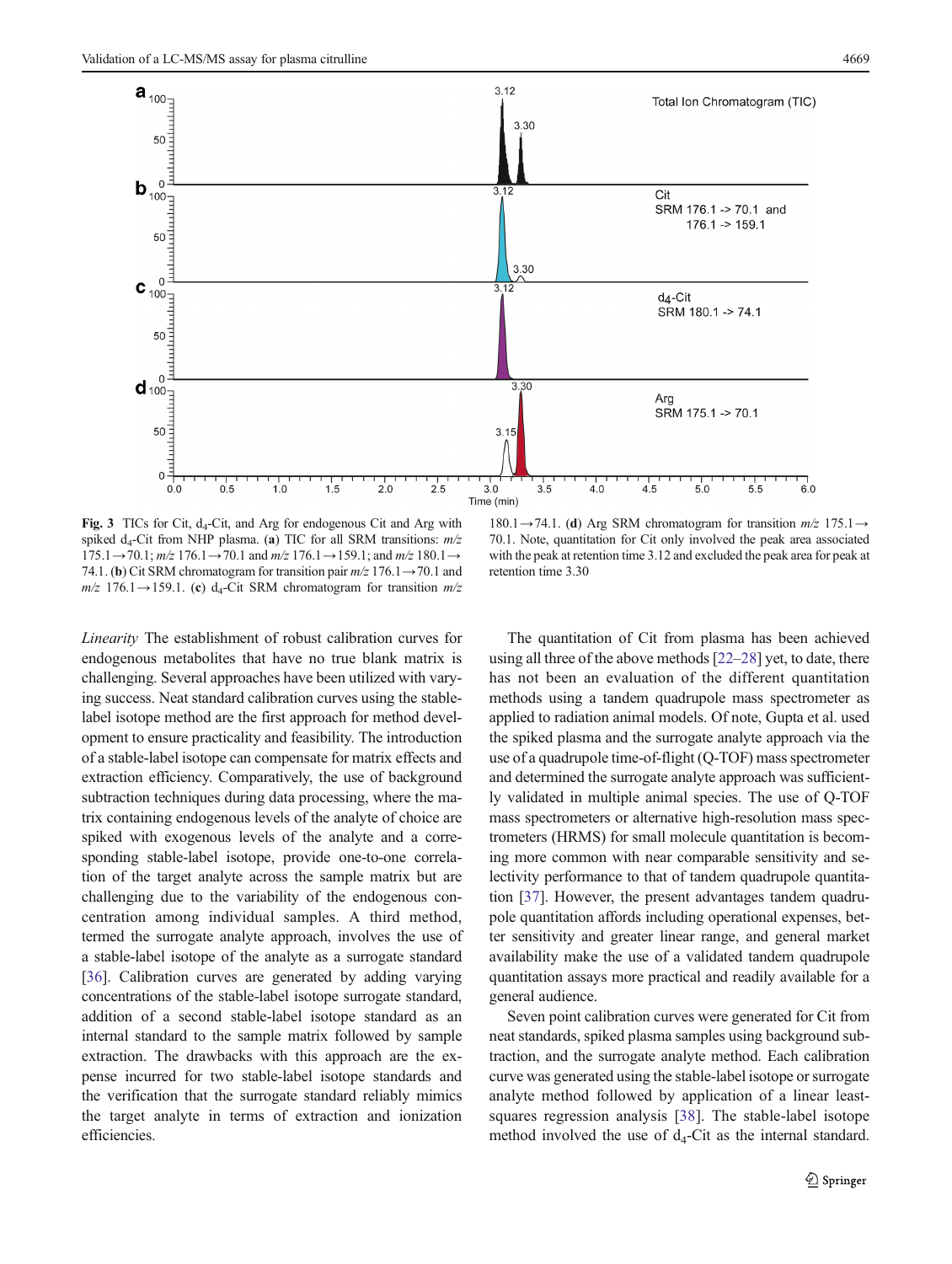<span id="page-6-0"></span>

Fig. 3 TICs for Cit,  $d_4$ -Cit, and Arg for endogenous Cit and Arg with spiked  $d_4$ -Cit from NHP plasma. (a) TIC for all SRM transitions:  $m/z$  $175.1 \rightarrow 70.1$ ;  $m/z$   $176.1 \rightarrow 70.1$  and  $m/z$   $176.1 \rightarrow 159.1$ ; and  $m/z$   $180.1 \rightarrow$ 74.1. (b) Cit SRM chromatogram for transition pair  $m/z$  176.1 $\rightarrow$  70.1 and  $m/z$  176.1→159.1. (c) d<sub>4</sub>-Cit SRM chromatogram for transition  $m/z$ 

180.1→74.1. (d) Arg SRM chromatogram for transition  $m/z$  175.1→ 70.1. Note, quantitation for Cit only involved the peak area associated with the peak at retention time 3.12 and excluded the peak area for peak at retention time 3.30

Linearity The establishment of robust calibration curves for endogenous metabolites that have no true blank matrix is challenging. Several approaches have been utilized with varying success. Neat standard calibration curves using the stablelabel isotope method are the first approach for method development to ensure practicality and feasibility. The introduction of a stable-label isotope can compensate for matrix effects and extraction efficiency. Comparatively, the use of background subtraction techniques during data processing, where the matrix containing endogenous levels of the analyte of choice are spiked with exogenous levels of the analyte and a corresponding stable-label isotope, provide one-to-one correlation of the target analyte across the sample matrix but are challenging due to the variability of the endogenous concentration among individual samples. A third method, termed the surrogate analyte approach, involves the use of a stable-label isotope of the analyte as a surrogate standard [\[36\]](#page-12-0). Calibration curves are generated by adding varying concentrations of the stable-label isotope surrogate standard, addition of a second stable-label isotope standard as an internal standard to the sample matrix followed by sample extraction. The drawbacks with this approach are the expense incurred for two stable-label isotope standards and the verification that the surrogate standard reliably mimics the target analyte in terms of extraction and ionization efficiencies.

The quantitation of Cit from plasma has been achieved using all three of the above methods [\[22](#page-11-0)–[28\]](#page-11-0) yet, to date, there has not been an evaluation of the different quantitation methods using a tandem quadrupole mass spectrometer as applied to radiation animal models. Of note, Gupta et al. used the spiked plasma and the surrogate analyte approach via the use of a quadrupole time-of-flight (Q-TOF) mass spectrometer and determined the surrogate analyte approach was sufficiently validated in multiple animal species. The use of Q-TOF mass spectrometers or alternative high-resolution mass spectrometers (HRMS) for small molecule quantitation is becoming more common with near comparable sensitivity and selectivity performance to that of tandem quadrupole quantitation [\[37\]](#page-12-0). However, the present advantages tandem quadrupole quantitation affords including operational expenses, better sensitivity and greater linear range, and general market availability make the use of a validated tandem quadrupole quantitation assays more practical and readily available for a general audience.

Seven point calibration curves were generated for Cit from neat standards, spiked plasma samples using background subtraction, and the surrogate analyte method. Each calibration curve was generated using the stable-label isotope or surrogate analyte method followed by application of a linear leastsquares regression analysis [\[38](#page-12-0)]. The stable-label isotope method involved the use of  $d_4$ -Cit as the internal standard.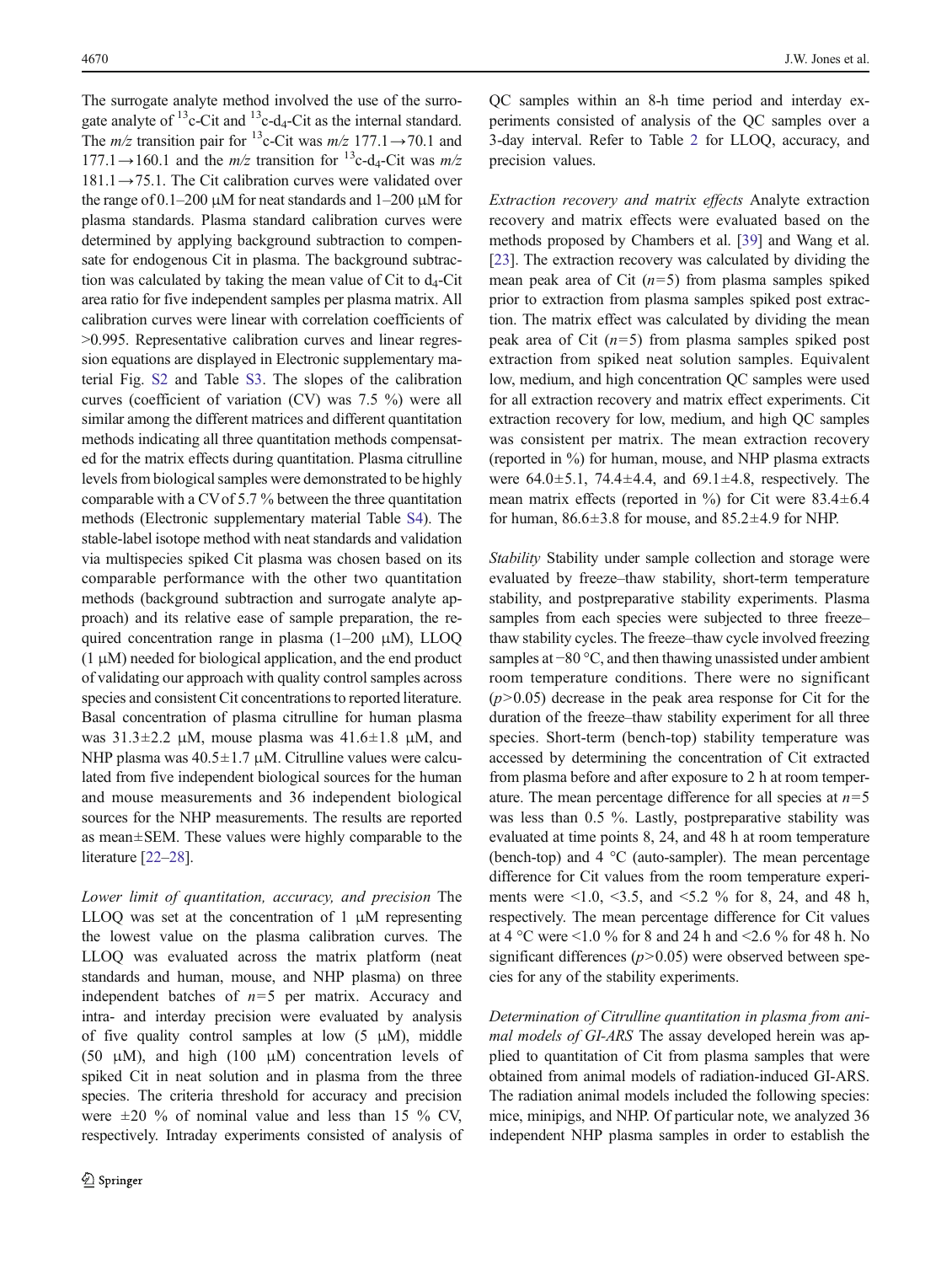The surrogate analyte method involved the use of the surrogate analyte of  $^{13}$ c-Cit and  $^{13}$ c-d<sub>4</sub>-Cit as the internal standard. The  $m/z$  transition pair for <sup>13</sup>c-Cit was  $m/z$  177.1→70.1 and  $177.1 \rightarrow 160.1$  and the  $m/z$  transition for <sup>13</sup>c-d<sub>4</sub>-Cit was  $m/z$  $181.1 \rightarrow 75.1$ . The Cit calibration curves were validated over the range of  $0.1-200 \mu M$  for neat standards and  $1-200 \mu M$  for plasma standards. Plasma standard calibration curves were determined by applying background subtraction to compensate for endogenous Cit in plasma. The background subtraction was calculated by taking the mean value of Cit to  $d_4$ -Cit area ratio for five independent samples per plasma matrix. All calibration curves were linear with correlation coefficients of >0.995. Representative calibration curves and linear regression equations are displayed in Electronic supplementary material Fig. S2 and Table S3. The slopes of the calibration curves (coefficient of variation (CV) was 7.5 %) were all similar among the different matrices and different quantitation methods indicating all three quantitation methods compensated for the matrix effects during quantitation. Plasma citrulline levels from biological samples were demonstrated to be highly comparable with a CVof 5.7 % between the three quantitation methods (Electronic supplementary material Table S4). The stable-label isotope method with neat standards and validation via multispecies spiked Cit plasma was chosen based on its comparable performance with the other two quantitation methods (background subtraction and surrogate analyte approach) and its relative ease of sample preparation, the required concentration range in plasma  $(1-200 \mu M)$ , LLOQ  $(1 \mu M)$  needed for biological application, and the end product of validating our approach with quality control samples across species and consistent Cit concentrations to reported literature. Basal concentration of plasma citrulline for human plasma was  $31.3\pm2.2$  μM, mouse plasma was  $41.6\pm1.8$  μM, and NHP plasma was  $40.5 \pm 1.7 \mu M$ . Citrulline values were calculated from five independent biological sources for the human and mouse measurements and 36 independent biological sources for the NHP measurements. The results are reported as mean±SEM. These values were highly comparable to the literature [\[22](#page-11-0)-[28\]](#page-11-0).

Lower limit of quantitation, accuracy, and precision The LLOQ was set at the concentration of  $1 \mu M$  representing the lowest value on the plasma calibration curves. The LLOQ was evaluated across the matrix platform (neat standards and human, mouse, and NHP plasma) on three independent batches of  $n=5$  per matrix. Accuracy and intra- and interday precision were evaluated by analysis of five quality control samples at low  $(5 \mu M)$ , middle (50  $\mu$ M), and high (100  $\mu$ M) concentration levels of spiked Cit in neat solution and in plasma from the three species. The criteria threshold for accuracy and precision were  $\pm 20$  % of nominal value and less than 15 % CV, respectively. Intraday experiments consisted of analysis of QC samples within an 8-h time period and interday experiments consisted of analysis of the QC samples over a 3-day interval. Refer to Table [2](#page-8-0) for LLOQ, accuracy, and precision values.

Extraction recovery and matrix effects Analyte extraction recovery and matrix effects were evaluated based on the methods proposed by Chambers et al. [\[39](#page-12-0)] and Wang et al. [\[23](#page-11-0)]. The extraction recovery was calculated by dividing the mean peak area of Cit  $(n=5)$  from plasma samples spiked prior to extraction from plasma samples spiked post extraction. The matrix effect was calculated by dividing the mean peak area of Cit  $(n=5)$  from plasma samples spiked post extraction from spiked neat solution samples. Equivalent low, medium, and high concentration QC samples were used for all extraction recovery and matrix effect experiments. Cit extraction recovery for low, medium, and high QC samples was consistent per matrix. The mean extraction recovery (reported in %) for human, mouse, and NHP plasma extracts were  $64.0 \pm 5.1$ ,  $74.4 \pm 4.4$ , and  $69.1 \pm 4.8$ , respectively. The mean matrix effects (reported in  $\%$ ) for Cit were 83.4 $\pm$ 6.4 for human,  $86.6 \pm 3.8$  for mouse, and  $85.2 \pm 4.9$  for NHP.

Stability Stability under sample collection and storage were evaluated by freeze–thaw stability, short-term temperature stability, and postpreparative stability experiments. Plasma samples from each species were subjected to three freeze– thaw stability cycles. The freeze–thaw cycle involved freezing samples at −80 °C, and then thawing unassisted under ambient room temperature conditions. There were no significant  $(p>0.05)$  decrease in the peak area response for Cit for the duration of the freeze–thaw stability experiment for all three species. Short-term (bench-top) stability temperature was accessed by determining the concentration of Cit extracted from plasma before and after exposure to 2 h at room temperature. The mean percentage difference for all species at  $n=5$ was less than 0.5 %. Lastly, postpreparative stability was evaluated at time points 8, 24, and 48 h at room temperature (bench-top) and  $4 \text{ }^{\circ}C$  (auto-sampler). The mean percentage difference for Cit values from the room temperature experiments were <1.0, <3.5, and <5.2 % for 8, 24, and 48 h, respectively. The mean percentage difference for Cit values at 4 °C were <1.0 % for 8 and 24 h and <2.6 % for 48 h. No significant differences  $(p>0.05)$  were observed between species for any of the stability experiments.

Determination of Citrulline quantitation in plasma from animal models of GI-ARS The assay developed herein was applied to quantitation of Cit from plasma samples that were obtained from animal models of radiation-induced GI-ARS. The radiation animal models included the following species: mice, minipigs, and NHP. Of particular note, we analyzed 36 independent NHP plasma samples in order to establish the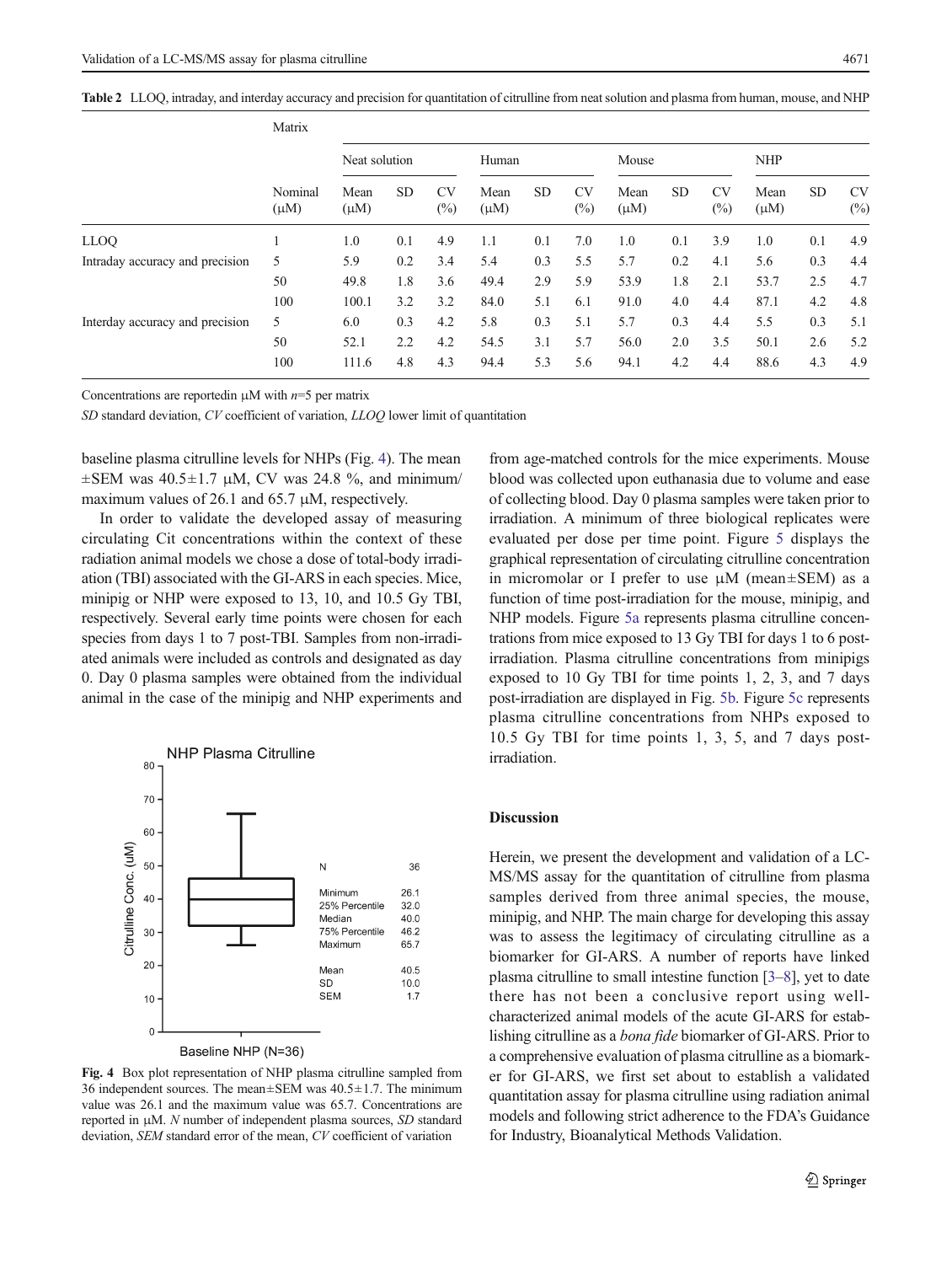<span id="page-8-0"></span>Table 2 LLOQ, intraday, and interday accuracy and precision for quantitation of citrulline from neat solution and plasma from human, mouse, and NHP

|                                 | Matrix               |                   |           |                     |                   |           |                     |                   |            |                  |                   |           |                     |
|---------------------------------|----------------------|-------------------|-----------|---------------------|-------------------|-----------|---------------------|-------------------|------------|------------------|-------------------|-----------|---------------------|
|                                 | Nominal<br>$(\mu M)$ | Neat solution     |           | Human               |                   | Mouse     |                     |                   | <b>NHP</b> |                  |                   |           |                     |
|                                 |                      | Mean<br>$(\mu M)$ | <b>SD</b> | <b>CV</b><br>$(\%)$ | Mean<br>$(\mu M)$ | <b>SD</b> | <b>CV</b><br>$(\%)$ | Mean<br>$(\mu M)$ | <b>SD</b>  | <b>CV</b><br>(%) | Mean<br>$(\mu M)$ | <b>SD</b> | <b>CV</b><br>$(\%)$ |
| LLOQ                            |                      | 1.0               | 0.1       | 4.9                 | 1.1               | 0.1       | 7.0                 | 1.0               | 0.1        | 3.9              | 1.0               | 0.1       | 4.9                 |
| Intraday accuracy and precision | 5                    | 5.9               | 0.2       | 3.4                 | 5.4               | 0.3       | 5.5                 | 5.7               | 0.2        | 4.1              | 5.6               | 0.3       | 4.4                 |
|                                 | 50                   | 49.8              | 1.8       | 3.6                 | 49.4              | 2.9       | 5.9                 | 53.9              | 1.8        | 2.1              | 53.7              | 2.5       | 4.7                 |
|                                 | 100                  | 100.1             | 3.2       | 3.2                 | 84.0              | 5.1       | 6.1                 | 91.0              | 4.0        | 4.4              | 87.1              | 4.2       | 4.8                 |
| Interday accuracy and precision | 5                    | 6.0               | 0.3       | 4.2                 | 5.8               | 0.3       | 5.1                 | 5.7               | 0.3        | 4.4              | 5.5               | 0.3       | 5.1                 |
|                                 | 50                   | 52.1              | 2.2       | 4.2                 | 54.5              | 3.1       | 5.7                 | 56.0              | 2.0        | 3.5              | 50.1              | 2.6       | 5.2                 |
|                                 | 100                  | 111.6             | 4.8       | 4.3                 | 94.4              | 5.3       | 5.6                 | 94.1              | 4.2        | 4.4              | 88.6              | 4.3       | 4.9                 |

Concentrations are reported in  $\mu$ M with  $n=5$  per matrix

SD standard deviation, CV coefficient of variation, LLOQ lower limit of quantitation

baseline plasma citrulline levels for NHPs (Fig. 4). The mean  $\pm$ SEM was 40.5 $\pm$ 1.7  $\mu$ M, CV was 24.8 %, and minimum/ maximum values of 26.1 and 65.7 μM, respectively.

In order to validate the developed assay of measuring circulating Cit concentrations within the context of these radiation animal models we chose a dose of total-body irradiation (TBI) associated with the GI-ARS in each species. Mice, minipig or NHP were exposed to 13, 10, and 10.5 Gy TBI, respectively. Several early time points were chosen for each species from days 1 to 7 post-TBI. Samples from non-irradiated animals were included as controls and designated as day 0. Day 0 plasma samples were obtained from the individual animal in the case of the minipig and NHP experiments and



Baseline NHP (N=36)

Fig. 4 Box plot representation of NHP plasma citrulline sampled from 36 independent sources. The mean±SEM was 40.5±1.7. The minimum value was 26.1 and the maximum value was 65.7. Concentrations are reported in μM. N number of independent plasma sources, SD standard deviation, SEM standard error of the mean, CV coefficient of variation

from age-matched controls for the mice experiments. Mouse blood was collected upon euthanasia due to volume and ease of collecting blood. Day 0 plasma samples were taken prior to irradiation. A minimum of three biological replicates were evaluated per dose per time point. Figure [5](#page-9-0) displays the graphical representation of circulating citrulline concentration in micromolar or I prefer to use  $\mu$ M (mean $\pm$ SEM) as a function of time post-irradiation for the mouse, minipig, and NHP models. Figure [5a](#page-9-0) represents plasma citrulline concentrations from mice exposed to 13 Gy TBI for days 1 to 6 postirradiation. Plasma citrulline concentrations from minipigs exposed to 10 Gy TBI for time points 1, 2, 3, and 7 days post-irradiation are displayed in Fig. [5b](#page-9-0). Figure [5c](#page-9-0) represents plasma citrulline concentrations from NHPs exposed to 10.5 Gy TBI for time points 1, 3, 5, and 7 days postirradiation.

## Discussion

Herein, we present the development and validation of a LC-MS/MS assay for the quantitation of citrulline from plasma samples derived from three animal species, the mouse, minipig, and NHP. The main charge for developing this assay was to assess the legitimacy of circulating citrulline as a biomarker for GI-ARS. A number of reports have linked plasma citrulline to small intestine function [\[3](#page-11-0)–[8](#page-11-0)], yet to date there has not been a conclusive report using wellcharacterized animal models of the acute GI-ARS for establishing citrulline as a bona fide biomarker of GI-ARS. Prior to a comprehensive evaluation of plasma citrulline as a biomarker for GI-ARS, we first set about to establish a validated quantitation assay for plasma citrulline using radiation animal models and following strict adherence to the FDA's Guidance for Industry, Bioanalytical Methods Validation.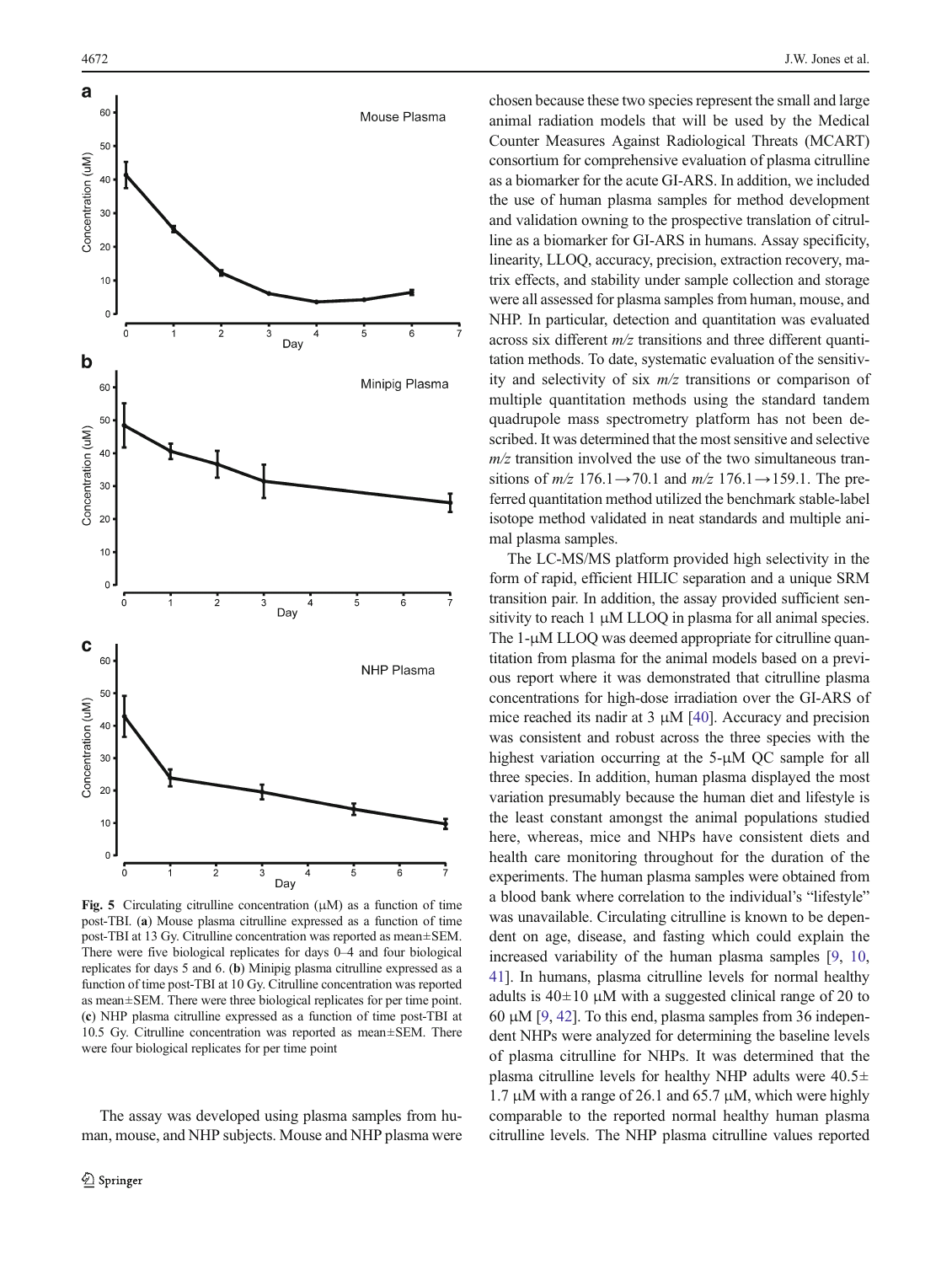<span id="page-9-0"></span>

Fig. 5 Circulating citrulline concentration  $(\mu M)$  as a function of time post-TBI. (a) Mouse plasma citrulline expressed as a function of time post-TBI at 13 Gy. Citrulline concentration was reported as mean±SEM. There were five biological replicates for days 0–4 and four biological replicates for days 5 and 6. (b) Minipig plasma citrulline expressed as a function of time post-TBI at 10 Gy. Citrulline concentration was reported as mean±SEM. There were three biological replicates for per time point. (c) NHP plasma citrulline expressed as a function of time post-TBI at 10.5 Gy. Citrulline concentration was reported as mean±SEM. There were four biological replicates for per time point

The assay was developed using plasma samples from human, mouse, and NHP subjects. Mouse and NHP plasma were chosen because these two species represent the small and large animal radiation models that will be used by the Medical Counter Measures Against Radiological Threats (MCART) consortium for comprehensive evaluation of plasma citrulline as a biomarker for the acute GI-ARS. In addition, we included the use of human plasma samples for method development and validation owning to the prospective translation of citrulline as a biomarker for GI-ARS in humans. Assay specificity, linearity, LLOQ, accuracy, precision, extraction recovery, matrix effects, and stability under sample collection and storage were all assessed for plasma samples from human, mouse, and NHP. In particular, detection and quantitation was evaluated across six different  $m/z$  transitions and three different quantitation methods. To date, systematic evaluation of the sensitivity and selectivity of six  $m/z$  transitions or comparison of multiple quantitation methods using the standard tandem quadrupole mass spectrometry platform has not been described. It was determined that the most sensitive and selective  $m/z$  transition involved the use of the two simultaneous transitions of  $m/z$  176.1→70.1 and  $m/z$  176.1→159.1. The preferred quantitation method utilized the benchmark stable-label isotope method validated in neat standards and multiple animal plasma samples.

The LC-MS/MS platform provided high selectivity in the form of rapid, efficient HILIC separation and a unique SRM transition pair. In addition, the assay provided sufficient sensitivity to reach  $1 \mu M LLOQ$  in plasma for all animal species. The 1-μM LLOQ was deemed appropriate for citrulline quantitation from plasma for the animal models based on a previous report where it was demonstrated that citrulline plasma concentrations for high-dose irradiation over the GI-ARS of mice reached its nadir at  $3 \mu M$  [[40](#page-12-0)]. Accuracy and precision was consistent and robust across the three species with the highest variation occurring at the 5-μM QC sample for all three species. In addition, human plasma displayed the most variation presumably because the human diet and lifestyle is the least constant amongst the animal populations studied here, whereas, mice and NHPs have consistent diets and health care monitoring throughout for the duration of the experiments. The human plasma samples were obtained from a blood bank where correlation to the individual's "lifestyle" was unavailable. Circulating citrulline is known to be dependent on age, disease, and fasting which could explain the increased variability of the human plasma samples [\[9](#page-11-0), [10,](#page-11-0) [41\]](#page-12-0). In humans, plasma citrulline levels for normal healthy adults is  $40\pm10$  μM with a suggested clinical range of 20 to 60 μM [[9,](#page-11-0) [42](#page-12-0)]. To this end, plasma samples from 36 independent NHPs were analyzed for determining the baseline levels of plasma citrulline for NHPs. It was determined that the plasma citrulline levels for healthy NHP adults were  $40.5\pm$ 1.7 μM with a range of 26.1 and 65.7 μM, which were highly comparable to the reported normal healthy human plasma citrulline levels. The NHP plasma citrulline values reported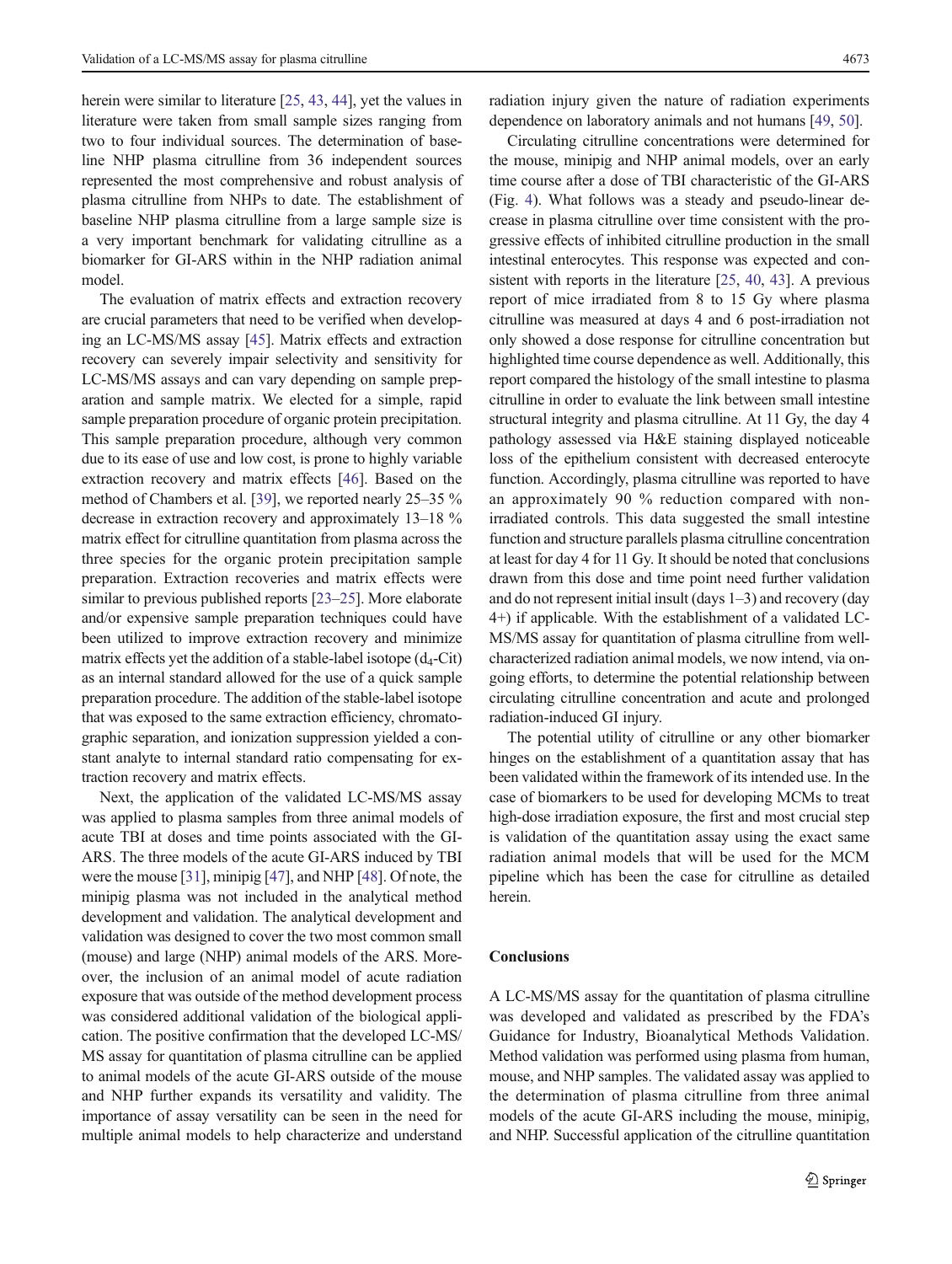herein were similar to literature [\[25,](#page-11-0) [43,](#page-12-0) [44\]](#page-12-0), yet the values in literature were taken from small sample sizes ranging from two to four individual sources. The determination of baseline NHP plasma citrulline from 36 independent sources represented the most comprehensive and robust analysis of plasma citrulline from NHPs to date. The establishment of baseline NHP plasma citrulline from a large sample size is a very important benchmark for validating citrulline as a biomarker for GI-ARS within in the NHP radiation animal model.

The evaluation of matrix effects and extraction recovery are crucial parameters that need to be verified when developing an LC-MS/MS assay [\[45](#page-12-0)]. Matrix effects and extraction recovery can severely impair selectivity and sensitivity for LC-MS/MS assays and can vary depending on sample preparation and sample matrix. We elected for a simple, rapid sample preparation procedure of organic protein precipitation. This sample preparation procedure, although very common due to its ease of use and low cost, is prone to highly variable extraction recovery and matrix effects [[46\]](#page-12-0). Based on the method of Chambers et al. [\[39](#page-12-0)], we reported nearly 25–35 % decrease in extraction recovery and approximately 13–18 % matrix effect for citrulline quantitation from plasma across the three species for the organic protein precipitation sample preparation. Extraction recoveries and matrix effects were similar to previous published reports [\[23](#page-11-0)–[25](#page-11-0)]. More elaborate and/or expensive sample preparation techniques could have been utilized to improve extraction recovery and minimize matrix effects yet the addition of a stable-label isotope  $(d_4$ -Cit) as an internal standard allowed for the use of a quick sample preparation procedure. The addition of the stable-label isotope that was exposed to the same extraction efficiency, chromatographic separation, and ionization suppression yielded a constant analyte to internal standard ratio compensating for extraction recovery and matrix effects.

Next, the application of the validated LC-MS/MS assay was applied to plasma samples from three animal models of acute TBI at doses and time points associated with the GI-ARS. The three models of the acute GI-ARS induced by TBI were the mouse [\[31\]](#page-12-0), minipig [[47](#page-12-0)], and NHP [[48](#page-12-0)]. Of note, the minipig plasma was not included in the analytical method development and validation. The analytical development and validation was designed to cover the two most common small (mouse) and large (NHP) animal models of the ARS. Moreover, the inclusion of an animal model of acute radiation exposure that was outside of the method development process was considered additional validation of the biological application. The positive confirmation that the developed LC-MS/ MS assay for quantitation of plasma citrulline can be applied to animal models of the acute GI-ARS outside of the mouse and NHP further expands its versatility and validity. The importance of assay versatility can be seen in the need for multiple animal models to help characterize and understand radiation injury given the nature of radiation experiments dependence on laboratory animals and not humans [[49,](#page-12-0) [50\]](#page-12-0).

Circulating citrulline concentrations were determined for the mouse, minipig and NHP animal models, over an early time course after a dose of TBI characteristic of the GI-ARS (Fig. [4\)](#page-8-0). What follows was a steady and pseudo-linear decrease in plasma citrulline over time consistent with the progressive effects of inhibited citrulline production in the small intestinal enterocytes. This response was expected and consistent with reports in the literature [\[25,](#page-11-0) [40](#page-12-0), [43\]](#page-12-0). A previous report of mice irradiated from 8 to 15 Gy where plasma citrulline was measured at days 4 and 6 post-irradiation not only showed a dose response for citrulline concentration but highlighted time course dependence as well. Additionally, this report compared the histology of the small intestine to plasma citrulline in order to evaluate the link between small intestine structural integrity and plasma citrulline. At 11 Gy, the day 4 pathology assessed via H&E staining displayed noticeable loss of the epithelium consistent with decreased enterocyte function. Accordingly, plasma citrulline was reported to have an approximately 90 % reduction compared with nonirradiated controls. This data suggested the small intestine function and structure parallels plasma citrulline concentration at least for day 4 for 11 Gy. It should be noted that conclusions drawn from this dose and time point need further validation and do not represent initial insult (days 1–3) and recovery (day 4+) if applicable. With the establishment of a validated LC-MS/MS assay for quantitation of plasma citrulline from wellcharacterized radiation animal models, we now intend, via ongoing efforts, to determine the potential relationship between circulating citrulline concentration and acute and prolonged radiation-induced GI injury.

The potential utility of citrulline or any other biomarker hinges on the establishment of a quantitation assay that has been validated within the framework of its intended use. In the case of biomarkers to be used for developing MCMs to treat high-dose irradiation exposure, the first and most crucial step is validation of the quantitation assay using the exact same radiation animal models that will be used for the MCM pipeline which has been the case for citrulline as detailed herein.

# Conclusions

A LC-MS/MS assay for the quantitation of plasma citrulline was developed and validated as prescribed by the FDA's Guidance for Industry, Bioanalytical Methods Validation. Method validation was performed using plasma from human, mouse, and NHP samples. The validated assay was applied to the determination of plasma citrulline from three animal models of the acute GI-ARS including the mouse, minipig, and NHP. Successful application of the citrulline quantitation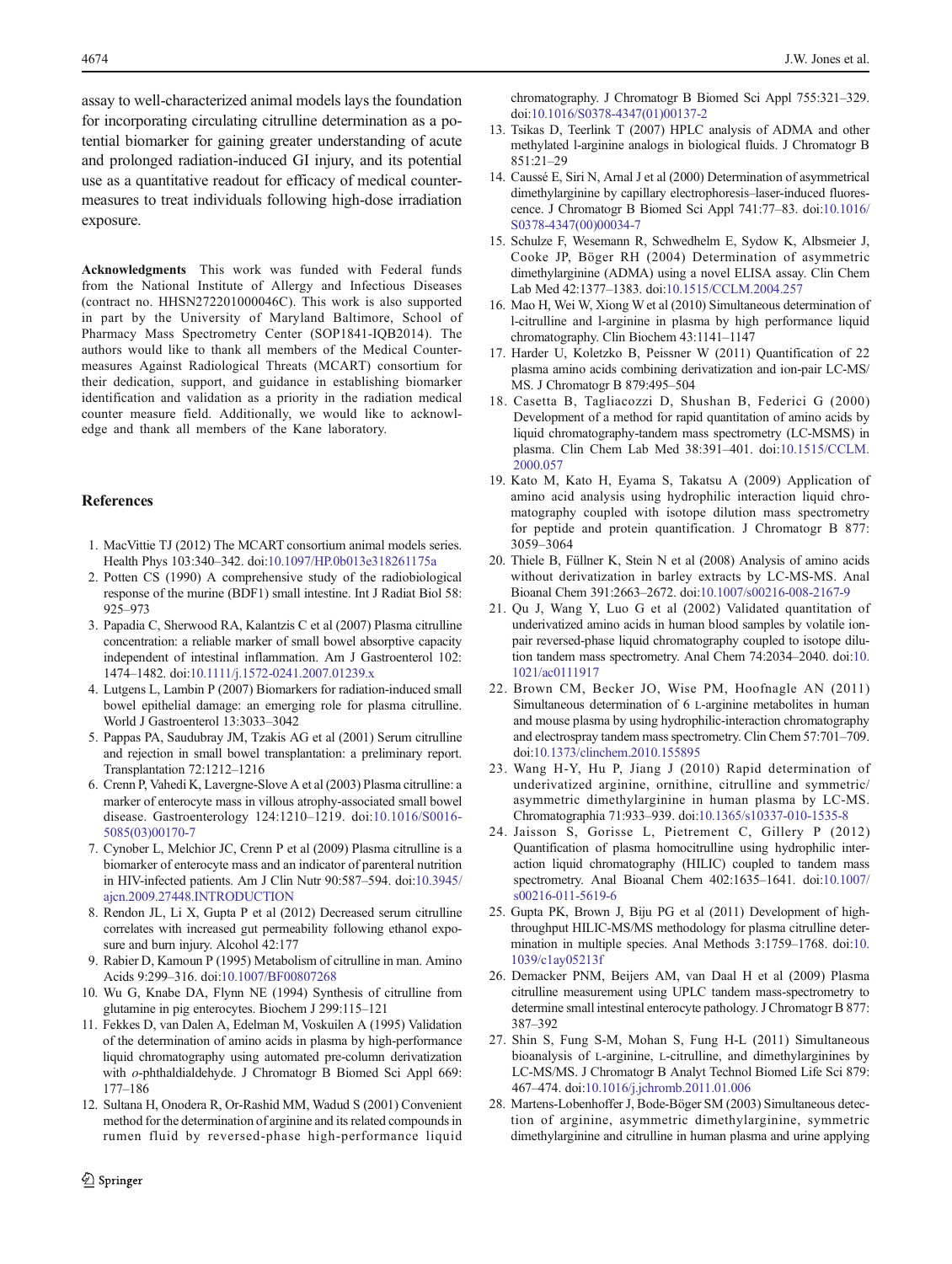<span id="page-11-0"></span>assay to well-characterized animal models lays the foundation for incorporating circulating citrulline determination as a potential biomarker for gaining greater understanding of acute and prolonged radiation-induced GI injury, and its potential use as a quantitative readout for efficacy of medical countermeasures to treat individuals following high-dose irradiation exposure.

Acknowledgments This work was funded with Federal funds from the National Institute of Allergy and Infectious Diseases (contract no. HHSN272201000046C). This work is also supported in part by the University of Maryland Baltimore, School of Pharmacy Mass Spectrometry Center (SOP1841-IQB2014). The authors would like to thank all members of the Medical Countermeasures Against Radiological Threats (MCART) consortium for their dedication, support, and guidance in establishing biomarker identification and validation as a priority in the radiation medical counter measure field. Additionally, we would like to acknowledge and thank all members of the Kane laboratory.

## References

- 1. MacVittie TJ (2012) The MCART consortium animal models series. Health Phys 103:340–342. doi:[10.1097/HP.0b013e318261175a](http://dx.doi.org/10.1097/HP.0b013e318261175a)
- 2. Potten CS (1990) A comprehensive study of the radiobiological response of the murine (BDF1) small intestine. Int J Radiat Biol 58: 925–973
- 3. Papadia C, Sherwood RA, Kalantzis C et al (2007) Plasma citrulline concentration: a reliable marker of small bowel absorptive capacity independent of intestinal inflammation. Am J Gastroenterol 102: 1474–1482. doi[:10.1111/j.1572-0241.2007.01239.x](http://dx.doi.org/10.1111/j.1572-0241.2007.01239.x)
- 4. Lutgens L, Lambin P (2007) Biomarkers for radiation-induced small bowel epithelial damage: an emerging role for plasma citrulline. World J Gastroenterol 13:3033–3042
- 5. Pappas PA, Saudubray JM, Tzakis AG et al (2001) Serum citrulline and rejection in small bowel transplantation: a preliminary report. Transplantation 72:1212–1216
- 6. Crenn P, Vahedi K, Lavergne-Slove A et al (2003) Plasma citrulline: a marker of enterocyte mass in villous atrophy-associated small bowel disease. Gastroenterology 124:1210–1219. doi:[10.1016/S0016-](http://dx.doi.org/10.1016/S0016-5085(03)00170-7) [5085\(03\)00170-7](http://dx.doi.org/10.1016/S0016-5085(03)00170-7)
- 7. Cynober L, Melchior JC, Crenn P et al (2009) Plasma citrulline is a biomarker of enterocyte mass and an indicator of parenteral nutrition in HIV-infected patients. Am J Clin Nutr 90:587–594. doi[:10.3945/](http://dx.doi.org/10.3945/ajcn.2009.27448.INTRODUCTION) [ajcn.2009.27448.INTRODUCTION](http://dx.doi.org/10.3945/ajcn.2009.27448.INTRODUCTION)
- 8. Rendon JL, Li X, Gupta P et al (2012) Decreased serum citrulline correlates with increased gut permeability following ethanol exposure and burn injury. Alcohol 42:177
- 9. Rabier D, Kamoun P (1995) Metabolism of citrulline in man. Amino Acids 9:299–316. doi[:10.1007/BF00807268](http://dx.doi.org/10.1007/BF00807268)
- 10. Wu G, Knabe DA, Flynn NE (1994) Synthesis of citrulline from glutamine in pig enterocytes. Biochem J 299:115–121
- 11. Fekkes D, van Dalen A, Edelman M, Voskuilen A (1995) Validation of the determination of amino acids in plasma by high-performance liquid chromatography using automated pre-column derivatization with *o*-phthaldialdehyde. J Chromatogr B Biomed Sci Appl 669: 177–186
- 12. Sultana H, Onodera R, Or-Rashid MM, Wadud S (2001) Convenient method for the determination of arginine and its related compounds in rumen fluid by reversed-phase high-performance liquid

chromatography. J Chromatogr B Biomed Sci Appl 755:321–329. doi[:10.1016/S0378-4347\(01\)00137-2](http://dx.doi.org/10.1016/S0378-4347(01)00137-2)

- 13. Tsikas D, Teerlink T (2007) HPLC analysis of ADMA and other methylated l-arginine analogs in biological fluids. J Chromatogr B 851:21–29
- 14. Caussé E, Siri N, Arnal J et al (2000) Determination of asymmetrical dimethylarginine by capillary electrophoresis–laser-induced fluorescence. J Chromatogr B Biomed Sci Appl 741:77–83. doi[:10.1016/](http://dx.doi.org/10.1016/S0378-4347(00)00034-7) [S0378-4347\(00\)00034-7](http://dx.doi.org/10.1016/S0378-4347(00)00034-7)
- 15. Schulze F, Wesemann R, Schwedhelm E, Sydow K, Albsmeier J, Cooke JP, Böger RH (2004) Determination of asymmetric dimethylarginine (ADMA) using a novel ELISA assay. Clin Chem Lab Med 42:1377–1383. doi[:10.1515/CCLM.2004.257](http://dx.doi.org/10.1515/CCLM.2004.257)
- 16. Mao H, Wei W, Xiong W et al (2010) Simultaneous determination of l-citrulline and l-arginine in plasma by high performance liquid chromatography. Clin Biochem 43:1141–1147
- 17. Harder U, Koletzko B, Peissner W (2011) Quantification of 22 plasma amino acids combining derivatization and ion-pair LC-MS/ MS. J Chromatogr B 879:495–504
- 18. Casetta B, Tagliacozzi D, Shushan B, Federici G (2000) Development of a method for rapid quantitation of amino acids by liquid chromatography-tandem mass spectrometry (LC-MSMS) in plasma. Clin Chem Lab Med 38:391–401. doi[:10.1515/CCLM.](http://dx.doi.org/10.1515/CCLM.2000.057) [2000.057](http://dx.doi.org/10.1515/CCLM.2000.057)
- 19. Kato M, Kato H, Eyama S, Takatsu A (2009) Application of amino acid analysis using hydrophilic interaction liquid chromatography coupled with isotope dilution mass spectrometry for peptide and protein quantification. J Chromatogr B 877: 3059–3064
- 20. Thiele B, Füllner K, Stein N et al (2008) Analysis of amino acids without derivatization in barley extracts by LC-MS-MS. Anal Bioanal Chem 391:2663–2672. doi[:10.1007/s00216-008-2167-9](http://dx.doi.org/10.1007/s00216-008-2167-9)
- 21. Qu J, Wang Y, Luo G et al (2002) Validated quantitation of underivatized amino acids in human blood samples by volatile ionpair reversed-phase liquid chromatography coupled to isotope dilution tandem mass spectrometry. Anal Chem 74:2034–2040. doi[:10.](http://dx.doi.org/10.1021/ac0111917) [1021/ac0111917](http://dx.doi.org/10.1021/ac0111917)
- 22. Brown CM, Becker JO, Wise PM, Hoofnagle AN (2011) Simultaneous determination of 6 L-arginine metabolites in human and mouse plasma by using hydrophilic-interaction chromatography and electrospray tandem mass spectrometry. Clin Chem 57:701–709. doi[:10.1373/clinchem.2010.155895](http://dx.doi.org/10.1373/clinchem.2010.155895)
- 23. Wang H-Y, Hu P, Jiang J (2010) Rapid determination of underivatized arginine, ornithine, citrulline and symmetric/ asymmetric dimethylarginine in human plasma by LC-MS. Chromatographia 71:933–939. doi[:10.1365/s10337-010-1535-8](http://dx.doi.org/10.1365/s10337-010-1535-8)
- 24. Jaisson S, Gorisse L, Pietrement C, Gillery P (2012) Quantification of plasma homocitrulline using hydrophilic interaction liquid chromatography (HILIC) coupled to tandem mass spectrometry. Anal Bioanal Chem 402:1635–1641. doi[:10.1007/](http://dx.doi.org/10.1007/s00216-011-5619-6) [s00216-011-5619-6](http://dx.doi.org/10.1007/s00216-011-5619-6)
- 25. Gupta PK, Brown J, Biju PG et al (2011) Development of highthroughput HILIC-MS/MS methodology for plasma citrulline determination in multiple species. Anal Methods 3:1759–1768. doi[:10.](http://dx.doi.org/10.1039/c1ay05213f) [1039/c1ay05213f](http://dx.doi.org/10.1039/c1ay05213f)
- 26. Demacker PNM, Beijers AM, van Daal H et al (2009) Plasma citrulline measurement using UPLC tandem mass-spectrometry to determine small intestinal enterocyte pathology. J Chromatogr B 877: 387–392
- 27. Shin S, Fung S-M, Mohan S, Fung H-L (2011) Simultaneous bioanalysis of L-arginine, L-citrulline, and dimethylarginines by LC-MS/MS. J Chromatogr B Analyt Technol Biomed Life Sci 879: 467–474. doi[:10.1016/j.jchromb.2011.01.006](http://dx.doi.org/10.1016/j.jchromb.2011.01.006)
- 28. Martens-Lobenhoffer J, Bode-Böger SM (2003) Simultaneous detection of arginine, asymmetric dimethylarginine, symmetric dimethylarginine and citrulline in human plasma and urine applying